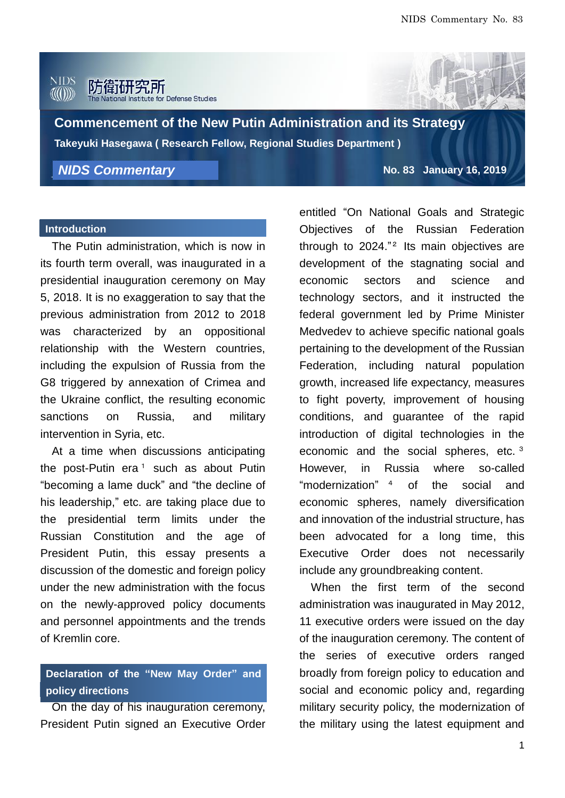#### **NIDS** 防衛研究所 Defense Studies



**Commencement of the New Putin Administration and its Strategy Takeyuki Hasegawa ( Research Fellow, Regional Studies Department )**

*NIDS Commentary*

**No. 83 January 16, 2019**

### **Introduction and President inauguration**

The Putin administration, which is now in its fourth term overall, was inaugurated in a presidential inauguration ceremony on May 5, 2018. It is no exaggeration to say that the previous administration from 2012 to 2018 was characterized by an oppositional relationship with the Western countries, including the expulsion of Russia from the G8 triggered by annexation of Crimea and the Ukraine conflict, the resulting economic sanctions on Russia, and military intervention in Syria, etc.

At a time when discussions anticipating the post-Putin era<sup>1</sup> such as about Putin "becoming a lame duck" and "the decline of his leadership," etc. are taking place due to the presidential term limits under the Russian Constitution and the age of President Putin, this essay presents a discussion of the domestic and foreign policy under the new administration with the focus on the newly-approved policy documents and personnel appointments and the trends of Kremlin core.

# **Declaration of the "New May Order" and policy directions**

On the day of his inauguration ceremony, President Putin signed an Executive Order entitled "On National Goals and Strategic Objectives of the Russian Federation through to 2024." <sup>2</sup> Its main objectives are development of the stagnating social and economic sectors and science and technology sectors, and it instructed the federal government led by Prime Minister Medvedev to achieve specific national goals pertaining to the development of the Russian Federation, including natural population growth, increased life expectancy, measures to fight poverty, improvement of housing conditions, and guarantee of the rapid introduction of digital technologies in the economic and the social spheres, etc. 3 However, in Russia where so-called "modernization" of the social and economic spheres, namely diversification and innovation of the industrial structure, has been advocated for a long time, this Executive Order does not necessarily include any groundbreaking content.

When the first term of the second administration was inaugurated in May 2012, 11 executive orders were issued on the day of the inauguration ceremony. The content of the series of executive orders ranged broadly from foreign policy to education and social and economic policy and, regarding military security policy, the modernization of the military using the latest equipment and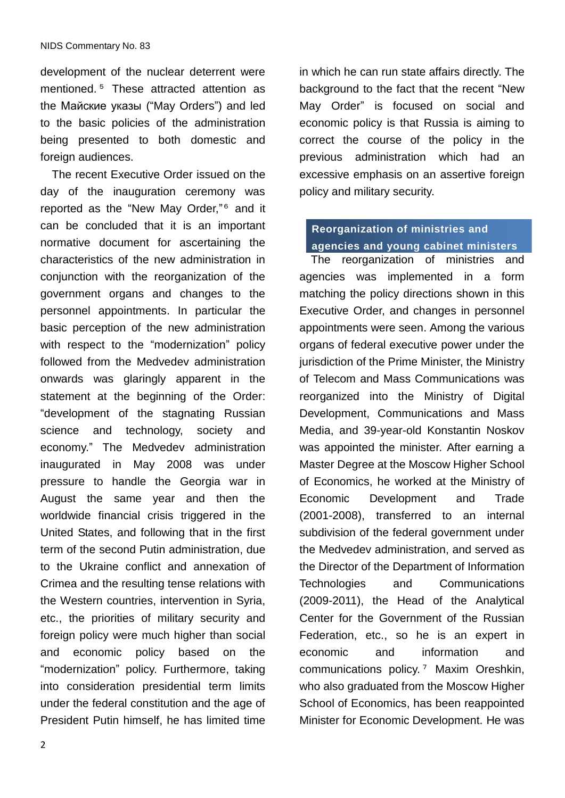development of the nuclear deterrent were mentioned. <sup>5</sup> These attracted attention as the Майские указы ("May Orders") and led to the basic policies of the administration being presented to both domestic and foreign audiences.

The recent Executive Order issued on the day of the inauguration ceremony was reported as the "New May Order," <sup>6</sup> and it can be concluded that it is an important normative document for ascertaining the characteristics of the new administration in conjunction with the reorganization of the government organs and changes to the personnel appointments. In particular the basic perception of the new administration with respect to the "modernization" policy followed from the Medvedev administration onwards was glaringly apparent in the statement at the beginning of the Order: "development of the stagnating Russian science and technology, society and economy." The Medvedev administration inaugurated in May 2008 was under pressure to handle the Georgia war in August the same year and then the worldwide financial crisis triggered in the United States, and following that in the first term of the second Putin administration, due to the Ukraine conflict and annexation of Crimea and the resulting tense relations with the Western countries, intervention in Syria, etc., the priorities of military security and foreign policy were much higher than social and economic policy based on the "modernization" policy. Furthermore, taking into consideration presidential term limits under the federal constitution and the age of President Putin himself, he has limited time

in which he can run state affairs directly. The background to the fact that the recent "New May Order" is focused on social and economic policy is that Russia is aiming to correct the course of the policy in the previous administration which had an excessive emphasis on an assertive foreign policy and military security.

### **Reorganization of ministries and agencies and young cabinet ministers**

The reorganization of ministries and agencies was implemented in a form matching the policy directions shown in this Executive Order, and changes in personnel appointments were seen. Among the various organs of federal executive power under the jurisdiction of the Prime Minister, the Ministry of Telecom and Mass Communications was reorganized into the Ministry of Digital Development, Communications and Mass Media, and 39-year-old Konstantin Noskov was appointed the minister. After earning a Master Degree at the Moscow Higher School of Economics, he worked at the Ministry of Economic Development and Trade (2001-2008), transferred to an internal subdivision of the federal government under the Medvedev administration, and served as the Director of the Department of Information Technologies and Communications (2009-2011), the Head of the Analytical Center for the Government of the Russian Federation, etc., so he is an expert in economic and information and communications policy. <sup>7</sup> Maxim Oreshkin, who also graduated from the Moscow Higher School of Economics, has been reappointed Minister for Economic Development. He was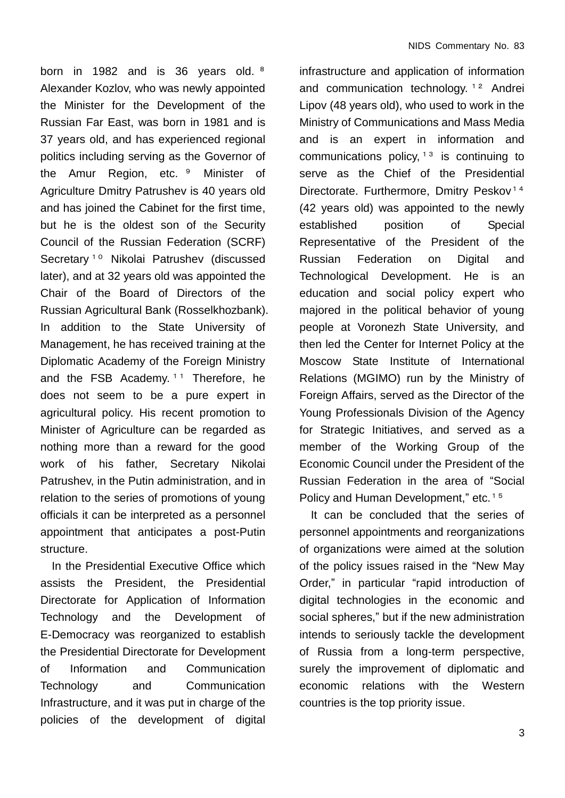born in 1982 and is 36 years old. <sup>8</sup> Alexander Kozlov, who was newly appointed the Minister for the Development of the Russian Far East, was born in 1981 and is 37 years old, and has experienced regional politics including serving as the Governor of the Amur Region, etc. <sup>9</sup> Minister of Agriculture Dmitry Patrushev is 40 years old and has joined the Cabinet for the first time, but he is the oldest son of the Security Council of the Russian Federation (SCRF) Secretary<sup>10</sup> Nikolai Patrushev (discussed later), and at 32 years old was appointed the Chair of the Board of Directors of the Russian Agricultural Bank (Rosselkhozbank). In addition to the State University of Management, he has received training at the Diplomatic Academy of the Foreign Ministry and the FSB Academy. <sup>11</sup> Therefore, he does not seem to be a pure expert in agricultural policy. His recent promotion to Minister of Agriculture can be regarded as nothing more than a reward for the good work of his father, Secretary Nikolai Patrushev, in the Putin administration, and in relation to the series of promotions of young officials it can be interpreted as a personnel appointment that anticipates a post-Putin structure.

In the Presidential Executive Office which assists the President, the Presidential Directorate for Application of Information Technology and the Development of E-Democracy was reorganized to establish the Presidential Directorate for Development of Information and Communication Technology and Communication Infrastructure, and it was put in charge of the policies of the development of digital infrastructure and application of information and communication technology.  $12$  Andrei Lipov (48 years old), who used to work in the Ministry of Communications and Mass Media and is an expert in information and communications policy,  $13$  is continuing to serve as the Chief of the Presidential Directorate. Furthermore, Dmitry Peskov<sup>14</sup> (42 years old) was appointed to the newly established position of Special Representative of the President of the Russian Federation on Digital and Technological Development. He is an education and social policy expert who majored in the political behavior of young people at Voronezh State University, and then led the Center for Internet Policy at the Moscow State Institute of International Relations (MGIMO) run by the Ministry of Foreign Affairs, served as the Director of the Young Professionals Division of the Agency for Strategic Initiatives, and served as a member of the Working Group of the Economic Council under the President of the Russian Federation in the area of "Social Policy and Human Development," etc.<sup>15</sup>

It can be concluded that the series of personnel appointments and reorganizations of organizations were aimed at the solution of the policy issues raised in the "New May Order," in particular "rapid introduction of digital technologies in the economic and social spheres," but if the new administration intends to seriously tackle the development of Russia from a long-term perspective, surely the improvement of diplomatic and economic relations with the Western countries is the top priority issue.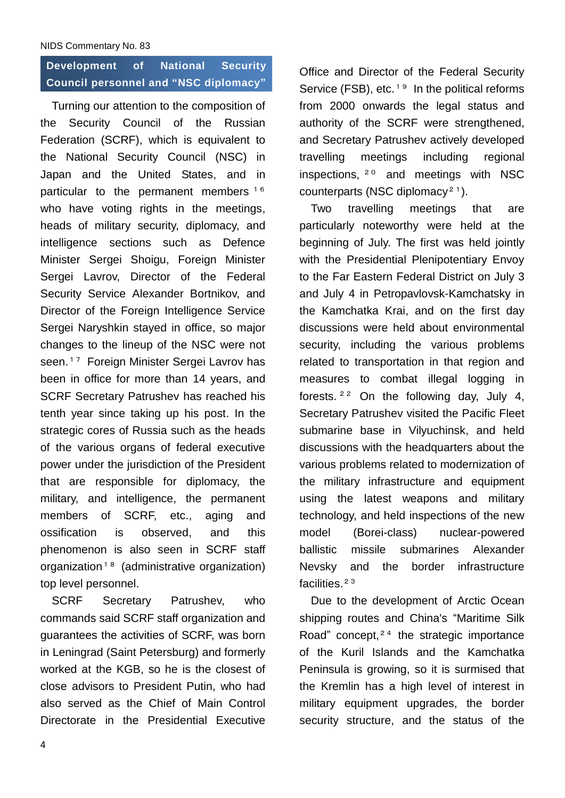### NIDS Commentary No. 83

# **Development of National Security Council personnel and "NSC diplomacy"**

Turning our attention to the composition of the Security Council of the Russian Federation (SCRF), which is equivalent to the National Security Council (NSC) in Japan and the United States, and in particular to the permanent members <sup>16</sup> who have voting rights in the meetings, heads of military security, diplomacy, and intelligence sections such as Defence Minister Sergei Shoigu, Foreign Minister Sergei Lavrov, Director of the Federal Security Service Alexander Bortnikov, and Director of the Foreign Intelligence Service Sergei Naryshkin stayed in office, so major changes to the lineup of the NSC were not seen. <sup>17</sup> Foreign Minister Sergei Lavrov has been in office for more than 14 years, and SCRF Secretary Patrushev has reached his tenth year since taking up his post. In the strategic cores of Russia such as the heads of the various organs of federal executive power under the jurisdiction of the President that are responsible for diplomacy, the military, and intelligence, the permanent members of SCRF, etc., aging and ossification is observed, and this phenomenon is also seen in SCRF staff organization<sup>18</sup> (administrative organization) top level personnel.

SCRF Secretary Patrushev, who commands said SCRF staff organization and guarantees the activities of SCRF, was born in Leningrad (Saint Petersburg) and formerly worked at the KGB, so he is the closest of close advisors to President Putin, who had also served as the Chief of Main Control Directorate in the Presidential Executive Office and Director of the Federal Security Service (FSB), etc.<sup>19</sup> In the political reforms from 2000 onwards the legal status and authority of the SCRF were strengthened, and Secretary Patrushev actively developed travelling meetings including regional inspections, <sup>20</sup> and meetings with NSC counterparts (NSC diplomacy<sup>21</sup>).

Two travelling meetings that are particularly noteworthy were held at the beginning of July. The first was held jointly with the Presidential Plenipotentiary Envoy to the Far Eastern Federal District on July 3 and July 4 in Petropavlovsk-Kamchatsky in the Kamchatka Krai, and on the first day discussions were held about environmental security, including the various problems related to transportation in that region and measures to combat illegal logging in forests. <sup>22</sup> On the following day, July 4, Secretary Patrushev visited the Pacific Fleet submarine base in Vilyuchinsk, and held discussions with the headquarters about the various problems related to modernization of the military infrastructure and equipment using the latest weapons and military technology, and held inspections of the new model (Borei-class) nuclear-powered ballistic missile submarines Alexander Nevsky and the border infrastructure facilities.<sup>23</sup>

Due to the development of Arctic Ocean shipping routes and China's "Maritime Silk Road" concept,  $24$  the strategic importance of the Kuril Islands and the Kamchatka Peninsula is growing, so it is surmised that the Kremlin has a high level of interest in military equipment upgrades, the border security structure, and the status of the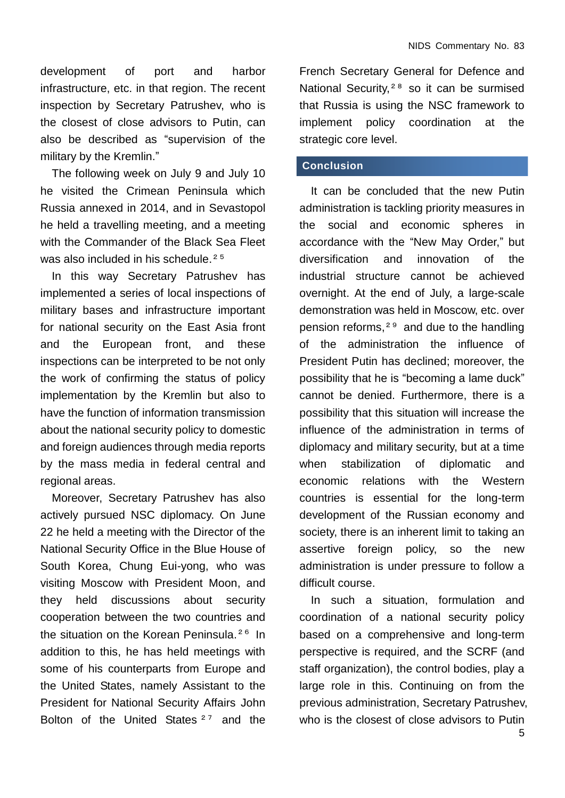development of port and harbor infrastructure, etc. in that region. The recent inspection by Secretary Patrushev, who is the closest of close advisors to Putin, can also be described as "supervision of the military by the Kremlin."

The following week on July 9 and July 10 he visited the Crimean Peninsula which Russia annexed in 2014, and in Sevastopol he held a travelling meeting, and a meeting with the Commander of the Black Sea Fleet was also included in his schedule.<sup>25</sup>

In this way Secretary Patrushev has implemented a series of local inspections of military bases and infrastructure important for national security on the East Asia front and the European front, and these inspections can be interpreted to be not only the work of confirming the status of policy implementation by the Kremlin but also to have the function of information transmission about the national security policy to domestic and foreign audiences through media reports by the mass media in federal central and regional areas.

Moreover, Secretary Patrushev has also actively pursued NSC diplomacy. On June 22 he held a meeting with the Director of the National Security Office in the Blue House of South Korea, Chung Eui-yong, who was visiting Moscow with President Moon, and they held discussions about security cooperation between the two countries and the situation on the Korean Peninsula.<sup>26</sup> In addition to this, he has held meetings with some of his counterparts from Europe and the United States, namely Assistant to the President for National Security Affairs John Bolton of the United States <sup>27</sup> and the

French Secretary General for Defence and National Security,<sup>28</sup> so it can be surmised that Russia is using the NSC framework to implement policy coordination at the strategic core level.

### **Conclusion**

It can be concluded that the new Putin administration is tackling priority measures in the social and economic spheres in accordance with the "New May Order," but diversification and innovation of the industrial structure cannot be achieved overnight. At the end of July, a large-scale demonstration was held in Moscow, etc. over pension reforms, <sup>29</sup> and due to the handling of the administration the influence of President Putin has declined; moreover, the possibility that he is "becoming a lame duck" cannot be denied. Furthermore, there is a possibility that this situation will increase the influence of the administration in terms of diplomacy and military security, but at a time when stabilization of diplomatic and economic relations with the Western countries is essential for the long-term development of the Russian economy and society, there is an inherent limit to taking an assertive foreign policy, so the new administration is under pressure to follow a difficult course.

In such a situation, formulation and coordination of a national security policy based on a comprehensive and long-term perspective is required, and the SCRF (and staff organization), the control bodies, play a large role in this. Continuing on from the previous administration, Secretary Patrushev, who is the closest of close advisors to Putin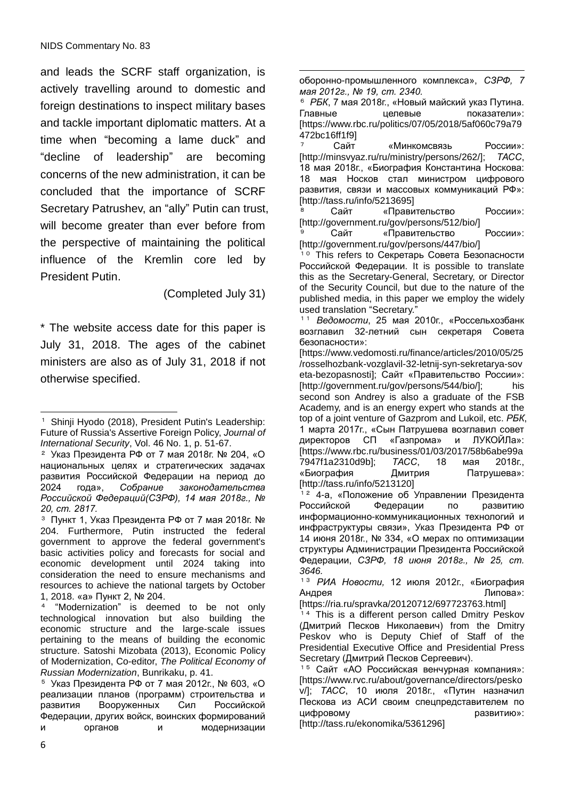and leads the SCRF staff organization, is actively travelling around to domestic and foreign destinations to inspect military bases and tackle important diplomatic matters. At a time when "becoming a lame duck" and "decline of leadership" are becoming concerns of the new administration, it can be concluded that the importance of SCRF Secretary Patrushev, an "ally" Putin can trust, will become greater than ever before from the perspective of maintaining the political influence of the Kremlin core led by President Putin.

(Completed July 31)

\* The website access date for this paper is July 31, 2018. The ages of the cabinet ministers are also as of July 31, 2018 if not otherwise specified.

<u>.</u> оборонно-промышленного комплекса», *СЗРФ, 7 мая 2012г., № 19, ст. 2340.*

<sup>6</sup> *РБК*, 7 мая 2018г., «Новый майский указ Путина. Главные целевые показатели»: [https://www.rbc.ru/politics/07/05/2018/5af060c79a79 472bc16ff1f9]

Сайт «Минкомсвязь России»: [http://minsvyaz.ru/ru/ministry/persons/262/]; *ТАСС*, 18 мая 2018г., «Биография Константина Носкова: 18 мая Носков стал министром цифрового развития, связи и массовых коммуникаций РФ»: [http://tass.ru/info/5213695]

Сайт «Правительство России»: [http://government.ru/gov/persons/512/bio/]

**Сайт** «Правительство России»: [http://government.ru/gov/persons/447/bio/]

<sup>10</sup> This refers to Секретарь Совета Безопасности Российской Федерации. It is possible to translate this as the Secretary-General, Secretary, or Director of the Security Council, but due to the nature of the published media, in this paper we employ the widely used translation "Secretary."

<sup>11</sup> *Ведомости*, 25 мая 2010г., «Россельхозбанк возглавил 32-летний сын секретаря Совета безопасности»:

[https://www.vedomosti.ru/finance/articles/2010/05/25 /rosselhozbank-vozglavil-32-letnij-syn-sekretarya-sov eta-bezopasnosti]; Сайт «Правительство России»: [http://government.ru/gov/persons/544/bio/]; his second son Andrey is also a graduate of the FSB Academy, and is an energy expert who stands at the top of a joint venture of Gazprom and Lukoil, etc. *РБК*, 1 марта 2017г., «Сын Патрушева возглавил совет директоров СП «Газпрома» и ЛУКОЙЛа»: [https://www.rbc.ru/business/01/03/2017/58b6abe99a 7947f1a2310d9b]; *ТАСС*, 18 мая 2018г., «Биография Дмитрия Патрушева»: [http://tass.ru/info/5213120]

<sup>12</sup> 4-а, «Положение об Управлении Президента Российской Федерации по развитию информационно-коммуникационных технологий и инфраструктуры связи», Указ Президента РФ от 14 июня 2018г., № 334, «О мерах по оптимизации структуры Администрации Президента Российской Федерации, *СЗРФ, 18 июня 2018г., № 25, ст. 3646.*

<sup>13</sup> *РИА Новости,* 12 июля 2012г., «Биография Андрея Пипова»: В Пипова

[https://ria.ru/spravka/20120712/697723763.html]

<sup>14</sup> This is a different person called Dmitry Peskov (Дмитрий Песков Николаевич) from the Dmitry Peskov who is Deputy Chief of Staff of the Presidential Executive Office and Presidential Press Secretary (Дмитрий Песков Сергеевич).

 $\overline{a}$ <sup>1</sup> Shinji Hyodo (2018), President Putin's Leadership: Future of Russia's Assertive Foreign Policy, *Journal of International Security*, Vol. 46 No. 1, p. 51-67.

<sup>2</sup> Указ Президента РФ от 7 мая 2018г. № 204, «О национальных целях и стратегических задачах развития Российской Федерации на период до 2024 года», *Собрание законодательства Российской Федераций(СЗРФ), 14 мая 2018г., № 20, ст. 2817.*

<sup>3</sup> Пункт 1, Указ Президента РФ от 7 мая 2018г. № 204. Furthermore, Putin instructed the federal government to approve the federal government's basic activities policy and forecasts for social and economic development until 2024 taking into consideration the need to ensure mechanisms and resources to achieve the national targets by October 1, 2018. «а» Пункт 2, № 204.

<sup>4</sup> "Modernization" is deemed to be not only technological innovation but also building the economic structure and the large-scale issues pertaining to the means of building the economic structure. Satoshi Mizobata (2013), Economic Policy of Modernization, Co-editor, *The Political Economy of Russian Modernization*, Bunrikaku, p. 41.

<sup>5</sup> Указ Президента РФ от 7 мая 2012г., № 603, «О реализации планов (программ) строительства и развития Вооруженных Сил Российской Федерации, других войск, воинских формирований и органов и модернизации

<sup>15</sup> Сайт «АО Российская венчурная компания»: [https://www.rvc.ru/about/governance/directors/pesko v/]; *ТАСС*, 10 июля 2018г., «Путин назначил Пескова из АСИ своим спецпредставителем по цифровому развитию»:

<sup>[</sup>http://tass.ru/ekonomika/5361296]